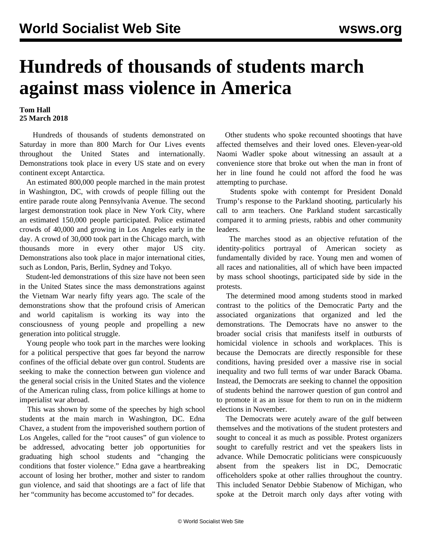## **Hundreds of thousands of students march against mass violence in America**

## **Tom Hall 25 March 2018**

 Hundreds of thousands of students demonstrated on Saturday in more than 800 March for Our Lives events throughout the United States and internationally. Demonstrations took place in every US state and on every continent except Antarctica.

 An estimated 800,000 people marched in the main protest in Washington, DC, with crowds of people filling out the entire parade route along Pennsylvania Avenue. The second largest demonstration took place in New York City, where an estimated 150,000 people participated. Police estimated crowds of 40,000 and growing in Los Angeles early in the day. A crowd of 30,000 took part in the Chicago march, with thousands more in every other major US city. Demonstrations also took place in major international cities, such as London, Paris, Berlin, Sydney and Tokyo.

 Student-led demonstrations of this size have not been seen in the United States since the mass demonstrations against the Vietnam War nearly fifty years ago. The scale of the demonstrations show that the profound crisis of American and world capitalism is working its way into the consciousness of young people and propelling a new generation into political struggle.

 Young people who took part in the marches were looking for a political perspective that goes far beyond the narrow confines of the official debate over gun control. Students are seeking to make the connection between gun violence and the general social crisis in the United States and the violence of the American ruling class, from police killings at home to imperialist war abroad.

 This was shown by some of the speeches by high school students at the main march in Washington, DC. Edna Chavez, a student from the impoverished southern portion of Los Angeles, called for the "root causes" of gun violence to be addressed, advocating better job opportunities for graduating high school students and "changing the conditions that foster violence." Edna gave a heartbreaking account of losing her brother, mother and sister to random gun violence, and said that shootings are a fact of life that her "community has become accustomed to" for decades.

 Other students who spoke recounted shootings that have affected themselves and their loved ones. Eleven-year-old Naomi Wadler spoke about witnessing an assault at a convenience store that broke out when the man in front of her in line found he could not afford the food he was attempting to purchase.

 Students spoke with contempt for President Donald Trump's response to the Parkland shooting, particularly his call to arm teachers. One Parkland student sarcastically compared it to arming priests, rabbis and other community leaders.

 The marches stood as an objective refutation of the identity-politics portrayal of American society fundamentally divided by race. Young men and women of all races and nationalities, all of which have been impacted by mass school shootings, participated side by side in the protests.

 The determined mood among students stood in marked contrast to the politics of the Democratic Party and the associated organizations that organized and led the demonstrations. The Democrats have no answer to the broader social crisis that manifests itself in outbursts of homicidal violence in schools and workplaces. This is because the Democrats are directly responsible for these conditions, having presided over a massive rise in social inequality and two full terms of war under Barack Obama. Instead, the Democrats are seeking to channel the opposition of students behind the narrower question of gun control and to promote it as an issue for them to run on in the midterm elections in November.

 The Democrats were acutely aware of the gulf between themselves and the motivations of the student protesters and sought to conceal it as much as possible. Protest organizers sought to carefully restrict and vet the speakers lists in advance. While Democratic politicians were conspicuously absent from the speakers list in DC, Democratic officeholders spoke at other rallies throughout the country. This included Senator Debbie Stabenow of Michigan, who spoke at the Detroit march only days after voting with